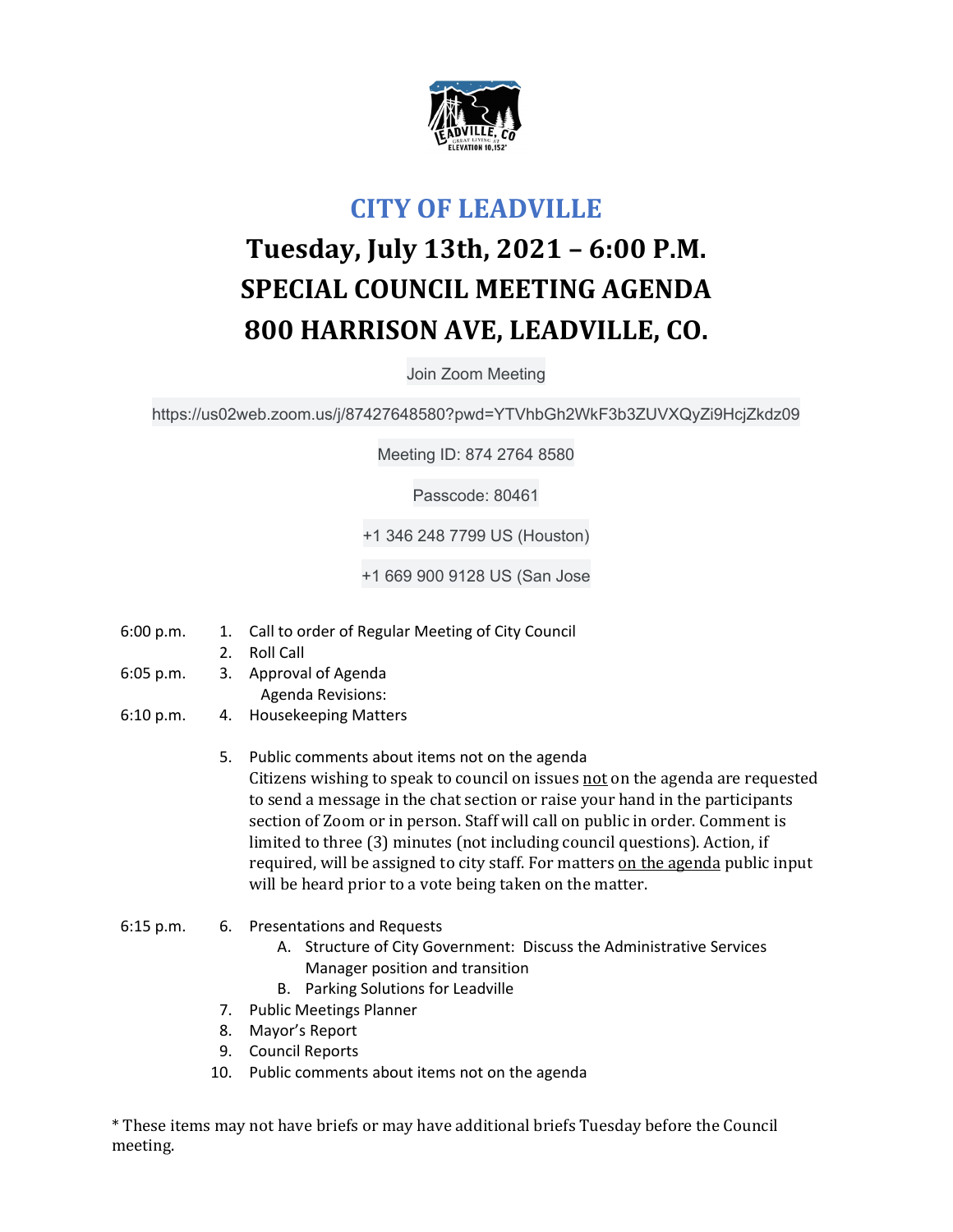

## **CITY OF LEADVILLE**

## **Tuesday, July 13th, 2021 – 6:00 P.M. SPECIAL COUNCIL MEETING AGENDA 800 HARRISON AVE, LEADVILLE, CO.**

Join Zoom Meeting

https://us02web.zoom.us/j/87427648580?pwd=YTVhbGh2WkF3b3ZUVXQyZi9HcjZkdz09

Meeting ID: 874 2764 8580

Passcode: 80461

+1 346 248 7799 US (Houston)

+1 669 900 9128 US (San Jose

- 6:00 p.m. 1. Call to order of Regular Meeting of City Council
	- 2. Roll Call
- 6:05 p.m. 3. Approval of Agenda Agenda Revisions:
- 6:10 p.m. 4. Housekeeping Matters
	- 5. Public comments about items not on the agenda Citizens wishing to speak to council on issues not on the agenda are requested to send a message in the chat section or raise your hand in the participants section of Zoom or in person. Staff will call on public in order. Comment is limited to three (3) minutes (not including council questions). Action, if required, will be assigned to city staff. For matters on the agenda public input will be heard prior to a vote being taken on the matter.
- 6:15 p.m. 6. Presentations and Requests
	- A. Structure of City Government: Discuss the Administrative Services Manager position and transition
	- B. Parking Solutions for Leadville
	- 7. Public Meetings Planner
	- 8. Mayor's Report
	- 9. Council Reports
	- 10. Public comments about items not on the agenda

\* These items may not have briefs or may have additional briefs Tuesday before the Council meeting.